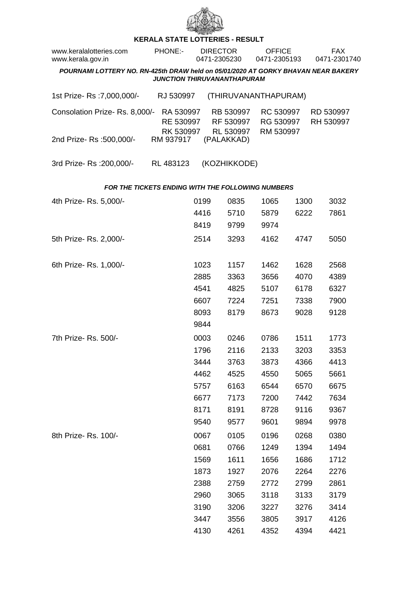

## **KERALA STATE LOTTERIES - RESULT**

| www.keralalotteries.com<br>www.kerala.gov.in                                                                            |  | <b>PHONE:-</b>                      | <b>DIRECTOR</b><br>0471-2305230 |                                     | <b>OFFICE</b><br>0471-2305193       |      | <b>FAX</b><br>0471-2301740 |                        |  |  |  |
|-------------------------------------------------------------------------------------------------------------------------|--|-------------------------------------|---------------------------------|-------------------------------------|-------------------------------------|------|----------------------------|------------------------|--|--|--|
| POURNAMI LOTTERY NO. RN-425th DRAW held on 05/01/2020 AT GORKY BHAVAN NEAR BAKERY<br><b>JUNCTION THIRUVANANTHAPURAM</b> |  |                                     |                                 |                                     |                                     |      |                            |                        |  |  |  |
| 1st Prize-Rs : 7,000,000/-                                                                                              |  | RJ 530997                           |                                 |                                     | (THIRUVANANTHAPURAM)                |      |                            |                        |  |  |  |
| Consolation Prize-Rs. 8,000/-<br>2nd Prize-Rs: 500,000/-                                                                |  | RA 530997<br>RE 530997<br>RK 530997 |                                 | RB 530997<br>RF 530997<br>RL 530997 | RC 530997<br>RG 530997<br>RM 530997 |      |                            | RD 530997<br>RH 530997 |  |  |  |
|                                                                                                                         |  | RM 937917                           |                                 | (PALAKKAD)                          |                                     |      |                            |                        |  |  |  |
| 3rd Prize-Rs : 200,000/-                                                                                                |  | RL 483123                           |                                 | (KOZHIKKODE)                        |                                     |      |                            |                        |  |  |  |
| <b>FOR THE TICKETS ENDING WITH THE FOLLOWING NUMBERS</b>                                                                |  |                                     |                                 |                                     |                                     |      |                            |                        |  |  |  |
| 4th Prize-Rs. 5,000/-                                                                                                   |  |                                     | 0199                            | 0835                                | 1065                                | 1300 |                            | 3032                   |  |  |  |
|                                                                                                                         |  |                                     | 4416                            | 5710                                | 5879                                | 6222 |                            | 7861                   |  |  |  |
|                                                                                                                         |  |                                     | 8419                            | 9799                                | 9974                                |      |                            |                        |  |  |  |
| 5th Prize-Rs. 2,000/-                                                                                                   |  |                                     | 2514                            | 3293                                | 4162                                | 4747 |                            | 5050                   |  |  |  |
| 6th Prize-Rs. 1,000/-                                                                                                   |  |                                     | 1023                            | 1157                                | 1462                                | 1628 |                            | 2568                   |  |  |  |
|                                                                                                                         |  |                                     | 2885                            | 3363                                | 3656                                | 4070 |                            | 4389                   |  |  |  |
|                                                                                                                         |  |                                     | 4541                            | 4825                                | 5107                                | 6178 |                            | 6327                   |  |  |  |
|                                                                                                                         |  |                                     | 6607                            | 7224                                | 7251                                | 7338 |                            | 7900                   |  |  |  |
|                                                                                                                         |  |                                     | 8093                            | 8179                                | 8673                                | 9028 |                            | 9128                   |  |  |  |
|                                                                                                                         |  |                                     | 9844                            |                                     |                                     |      |                            |                        |  |  |  |
| 7th Prize- Rs. 500/-                                                                                                    |  |                                     | 0003                            | 0246                                | 0786                                | 1511 |                            | 1773                   |  |  |  |
|                                                                                                                         |  |                                     | 1796                            | 2116                                | 2133                                | 3203 |                            | 3353                   |  |  |  |
|                                                                                                                         |  |                                     | 3444                            | 3763                                | 3873                                | 4366 |                            | 4413                   |  |  |  |
|                                                                                                                         |  |                                     | 4462                            | 4525                                | 4550                                | 5065 |                            | 5661                   |  |  |  |
|                                                                                                                         |  |                                     | 5757                            | 6163                                | 6544                                | 6570 |                            | 6675                   |  |  |  |
|                                                                                                                         |  |                                     | 6677                            | 7173                                | 7200                                | 7442 |                            | 7634                   |  |  |  |
|                                                                                                                         |  |                                     | 8171                            | 8191                                | 8728                                | 9116 |                            | 9367                   |  |  |  |
|                                                                                                                         |  |                                     | 9540                            | 9577                                | 9601                                | 9894 |                            | 9978                   |  |  |  |
| 8th Prize-Rs. 100/-                                                                                                     |  |                                     | 0067                            | 0105                                | 0196                                | 0268 |                            | 0380                   |  |  |  |
|                                                                                                                         |  |                                     | 0681                            | 0766                                | 1249                                | 1394 |                            | 1494                   |  |  |  |
|                                                                                                                         |  |                                     | 1569                            | 1611                                | 1656                                | 1686 |                            | 1712                   |  |  |  |
|                                                                                                                         |  |                                     | 1873                            | 1927                                | 2076                                | 2264 |                            | 2276                   |  |  |  |
|                                                                                                                         |  |                                     | 2388                            | 2759                                | 2772                                | 2799 |                            | 2861                   |  |  |  |
|                                                                                                                         |  |                                     | 2960                            | 3065                                | 3118                                | 3133 |                            | 3179                   |  |  |  |
|                                                                                                                         |  |                                     | 3190                            | 3206                                | 3227                                | 3276 |                            | 3414                   |  |  |  |
|                                                                                                                         |  |                                     | 3447                            | 3556                                | 3805                                | 3917 |                            | 4126                   |  |  |  |
|                                                                                                                         |  |                                     | 4130                            | 4261                                | 4352                                | 4394 |                            | 4421                   |  |  |  |